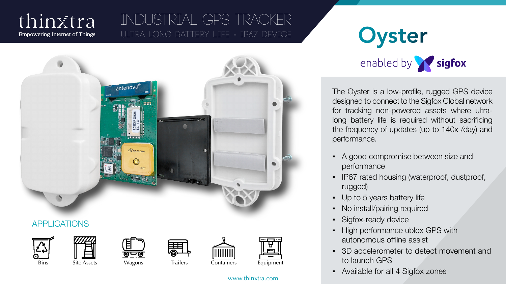## thinxtra **Empowering Internet of Things**

# INDUSTRIAL GPS Tracker ULTRA LONG BATTERY LIFE - IP67 DEVICE OYSTEM



www.thinxtra.com



The Oyster is a low-profile, rugged GPS device designed to connect to the Sigfox Global network for tracking non-powered assets where ultralong battery life is required without sacrificing the frequency of updates (up to 140x /day) and performance.

- A good compromise between size and performance
- **IP67 rated housing (waterproof, dustproof,** rugged)
- Up to 5 years battery life
- No install/pairing required
- Sigfox-ready device
- High performance ublox GPS with autonomous offline assist
- 3D accelerometer to detect movement and to launch GPS
- Available for all 4 Sigfox zones